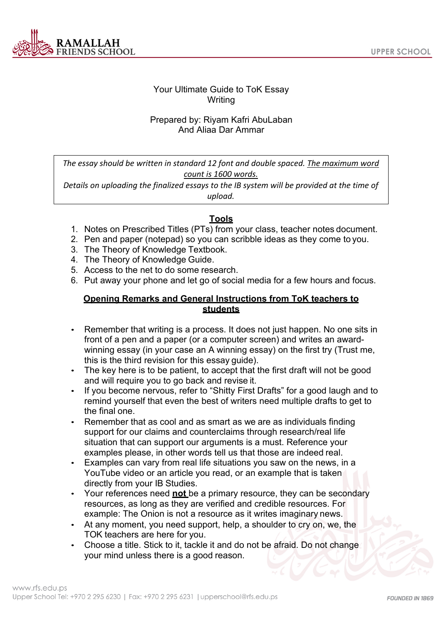

# Your Ultimate Guide to ToK Essay Writing

### Prepared by: Riyam Kafri AbuLaban And Aliaa Dar Ammar

*The essay should be written in standard 12 font and double spaced. The maximum word count is 1600 words.*

*Details on uploading the finalized essays to the IB system will be provided at the time of upload.*

### **Tools**

- 1. Notes on Prescribed Titles (PTs) from your class, teacher notes document.
- 2. Pen and paper (notepad) so you can scribble ideas as they come to you.
- 3. The Theory of Knowledge Textbook.
- 4. The Theory of Knowledge Guide.
- 5. Access to the net to do some research.
- 6. Put away your phone and let go of social media for a few hours and focus.

#### **Opening Remarks and General Instructions from ToK teachers to students**

- Remember that writing is a process. It does not just happen. No one sits in front of a pen and a paper (or a computer screen) and writes an awardwinning essay (in your case an A winning essay) on the first try (Trust me, this is the third revision for this essay guide).
- The key here is to be patient, to accept that the first draft will not be good and will require you to go back and revise it.
- If you become nervous, refer to "Shitty First Drafts" for a good laugh and to remind yourself that even the best of writers need multiple drafts to get to the final one.
- Remember that as cool and as smart as we are as individuals finding support for our claims and counterclaims through research/real life situation that can support our arguments is a must. Reference your examples please, in other words tell us that those are indeed real.
- Examples can vary from real life situations you saw on the news, in a YouTube video or an article you read, or an example that is taken directly from your IB Studies.
- Your references need **not** be a primary resource, they can be secondary resources, as long as they are verified and credible resources. For example: The Onion is not a resource as it writes imaginary news.
- At any moment, you need support, help, a shoulder to cry on, we, the TOK teachers are here for you.
- Choose a title. Stick to it, tackle it and do not be afraid. Do not change your mind unless there is a good reason.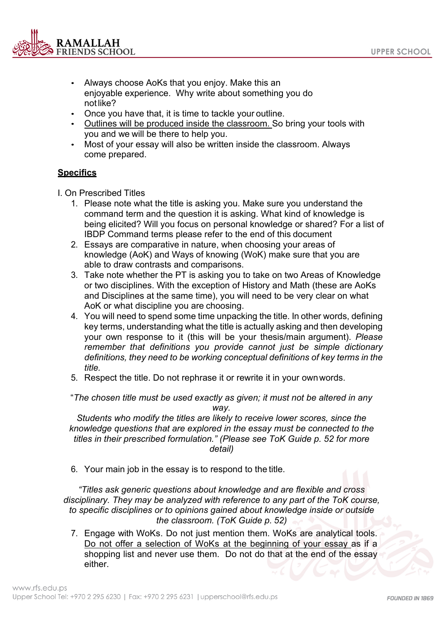

- Always choose AoKs that you enjoy. Make this an enjoyable experience. Why write about something you do notlike?
- Once you have that, it is time to tackle your outline.
- Outlines will be produced inside the classroom. So bring your tools with you and we will be there to help you.
- Most of your essay will also be written inside the classroom. Always come prepared.

#### **Specifics**

I. On Prescribed Titles

- 1. Please note what the title is asking you. Make sure you understand the command term and the question it is asking. What kind of knowledge is being elicited? Will you focus on personal knowledge or shared? For a list of IBDP Command terms please refer to the end of this document
- 2. Essays are comparative in nature, when choosing your areas of knowledge (AoK) and Ways of knowing (WoK) make sure that you are able to draw contrasts and comparisons.
- 3. Take note whether the PT is asking you to take on two Areas of Knowledge or two disciplines. With the exception of History and Math (these are AoKs and Disciplines at the same time), you will need to be very clear on what AoK or what discipline you are choosing.
- 4. You will need to spend some time unpacking the title. In other words, defining key terms, understanding what the title is actually asking and then developing your own response to it (this will be your thesis/main argument). *Please remember that definitions you provide cannot just be simple dictionary definitions, they need to be working conceptual definitions of key terms in the title.*
- 5. Respect the title. Do not rephrase it or rewrite it in your ownwords.

"*The chosen title must be used exactly as given; it must not be altered in any way.*

*Students who modify the titles are likely to receive lower scores, since the knowledge questions that are explored in the essay must be connected to the titles in their prescribed formulation." (Please see ToK Guide p. 52 for more detail)*

6. Your main job in the essay is to respond to the title.

*"Titles ask generic questions about knowledge and are flexible and cross disciplinary. They may be analyzed with reference to any part of the ToK course, to specific disciplines or to opinions gained about knowledge inside or outside the classroom. (ToK Guide p. 52)*

7. Engage with WoKs. Do not just mention them. WoKs are analytical tools. Do not offer a selection of WoKs at the beginning of your essay as if a shopping list and never use them. Do not do that at the end of the essay either.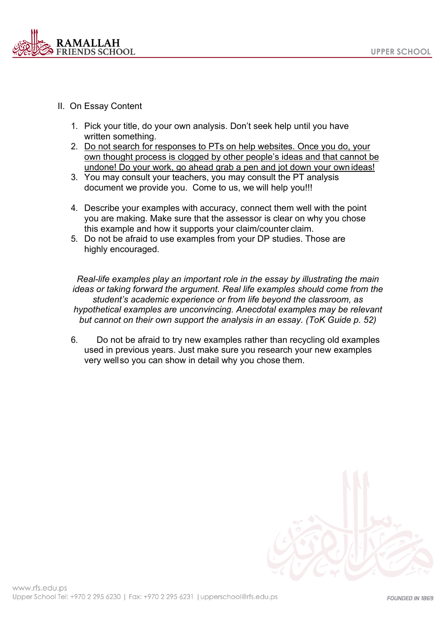

- II. On Essay Content
	- 1. Pick your title, do your own analysis. Don't seek help until you have written something.
	- 2. Do not search for responses to PTs on help websites. Once you do, your own thought process is clogged by other people's ideas and that cannot be undone! Do your work, go ahead grab a pen and jot down your own ideas!
	- 3. You may consult your teachers, you may consult the PT analysis document we provide you. Come to us, we will help you!!!
	- 4. Describe your examples with accuracy, connect them well with the point you are making. Make sure that the assessor is clear on why you chose this example and how it supports your claim/counter claim.
	- 5. Do not be afraid to use examples from your DP studies. Those are highly encouraged.

*Real-life examples play an important role in the essay by illustrating the main ideas or taking forward the argument. Real life examples should come from the student's academic experience or from life beyond the classroom, as hypothetical examples are unconvincing. Anecdotal examples may be relevant but cannot on their own support the analysis in an essay. (ToK Guide p. 52)*

6. Do not be afraid to try new examples rather than recycling old examples used in previous years. Just make sure you research your new examples very wellso you can show in detail why you chose them.

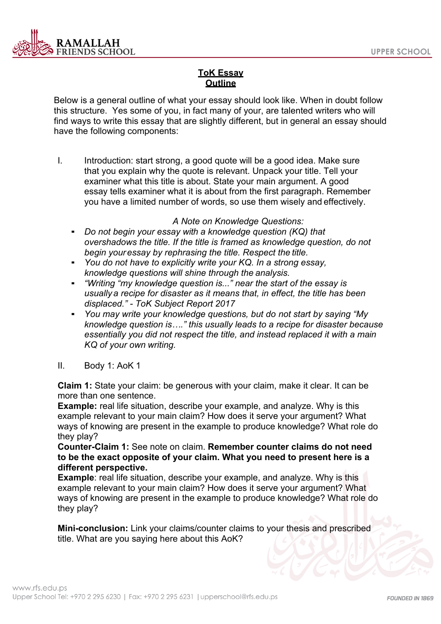

# **ToK Essay Outline**

Below is a general outline of what your essay should look like. When in doubt follow this structure. Yes some of you, in fact many of your, are talented writers who will find ways to write this essay that are slightly different, but in general an essay should have the following components:

I. Introduction: start strong, a good quote will be a good idea. Make sure that you explain why the quote is relevant. Unpack your title. Tell your examiner what this title is about. State your main argument. A good essay tells examiner what it is about from the first paragraph. Remember you have a limited number of words, so use them wisely and effectively.

#### *A Note on Knowledge Questions:*

- *Do not begin your essay with a knowledge question (KQ) that overshadows the title. If the title is framed as knowledge question, do not begin youressay by rephrasing the title. Respect the title.*
- *You do not have to explicitly write your KQ. In a strong essay, knowledge questions will shine through the analysis.*
- *"Writing "my knowledge question is..." near the start of the essay is usually a recipe for disaster as it means that, in effect, the title has been displaced." - ToK Subject Report 2017*
- *You may write your knowledge questions, but do not start by saying "My knowledge question is…." this usually leads to a recipe for disaster because essentially you did not respect the title, and instead replaced it with a main KQ of your own writing.*
- II. Body 1: AoK 1

**Claim 1:** State your claim: be generous with your claim, make it clear. It can be more than one sentence.

**Example:** real life situation, describe your example, and analyze. Why is this example relevant to your main claim? How does it serve your argument? What ways of knowing are present in the example to produce knowledge? What role do they play?

**Counter-Claim 1:** See note on claim. **Remember counter claims do not need to be the exact opposite of your claim. What you need to present here is a different perspective.**

**Example:** real life situation, describe your example, and analyze. Why is this example relevant to your main claim? How does it serve your argument? What ways of knowing are present in the example to produce knowledge? What role do they play?

**Mini-conclusion:** Link your claims/counter claims to your thesis and prescribed title. What are you saying here about this AoK?